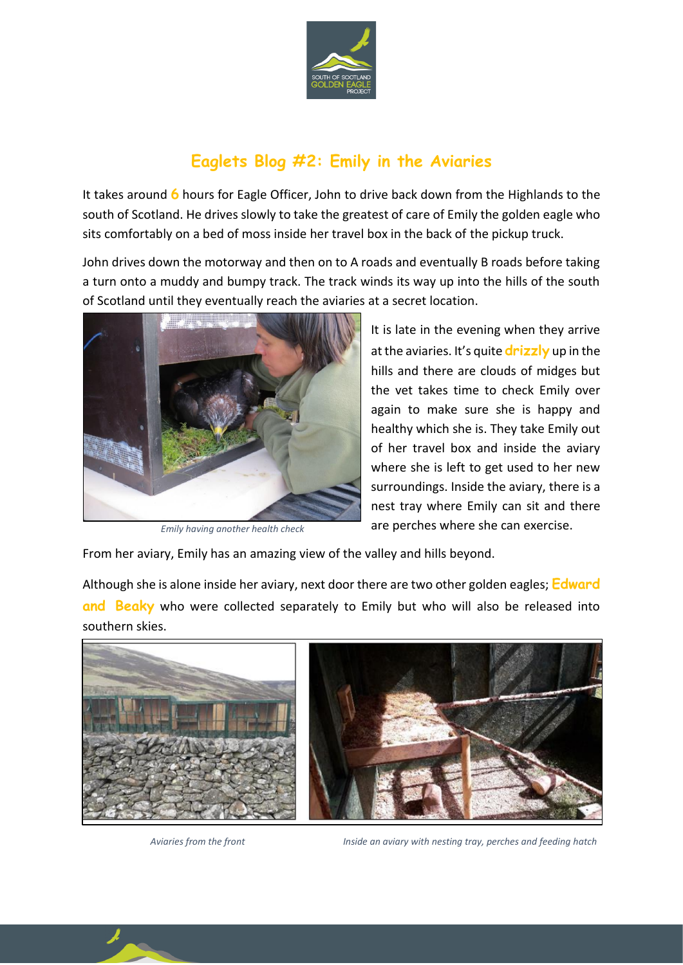

## **Eaglets Blog #2: Emily in the Aviaries**

It takes around **6** hours for Eagle Officer, John to drive back down from the Highlands to the south of Scotland. He drives slowly to take the greatest of care of Emily the golden eagle who sits comfortably on a bed of moss inside her travel box in the back of the pickup truck.

John drives down the motorway and then on to A roads and eventually B roads before taking a turn onto a muddy and bumpy track. The track winds its way up into the hills of the south of Scotland until they eventually reach the aviaries at a secret location.



*Emily having another health check*

It is late in the evening when they arrive at the aviaries. It's quite **drizzly** up in the hills and there are clouds of midges but the vet takes time to check Emily over again to make sure she is happy and healthy which she is. They take Emily out of her travel box and inside the aviary where she is left to get used to her new surroundings. Inside the aviary, there is a nest tray where Emily can sit and there are perches where she can exercise.

From her aviary, Emily has an amazing view of the valley and hills beyond.

Although she is alone inside her aviary, next door there are two other golden eagles; **Edward and Beaky** who were collected separately to Emily but who will also be released into southern skies.



 *Aviaries from the front Inside an aviary with nesting tray, perches and feeding hatch*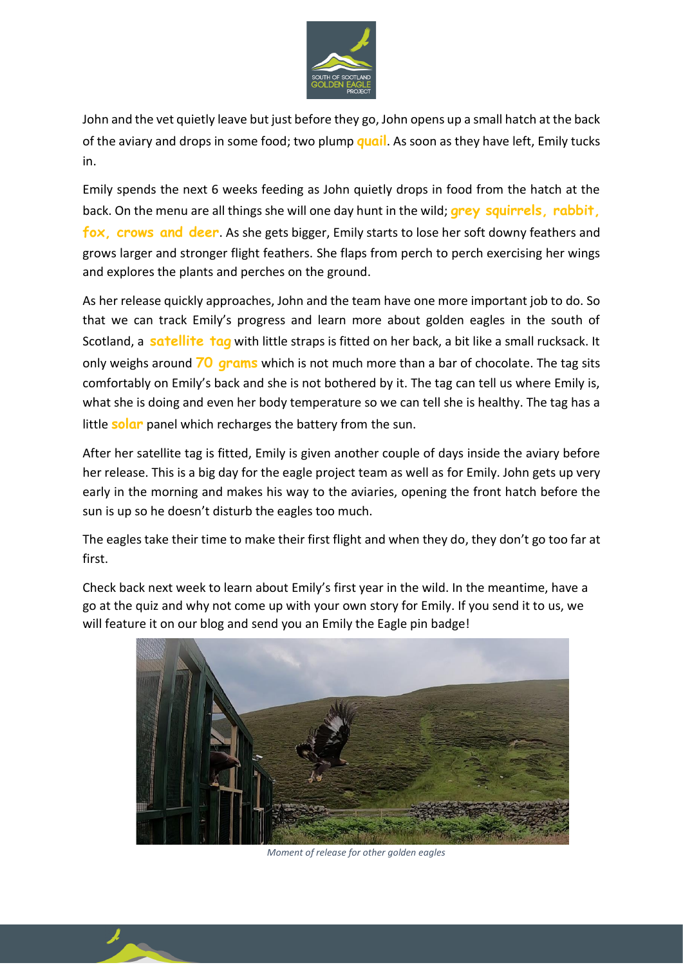

John and the vet quietly leave but just before they go, John opens up a small hatch at the back of the aviary and drops in some food; two plump **quail**. As soon as they have left, Emily tucks in.

Emily spends the next 6 weeks feeding as John quietly drops in food from the hatch at the back. On the menu are all things she will one day hunt in the wild; **grey squirrels, rabbit, fox, crows and deer**. As she gets bigger, Emily starts to lose her soft downy feathers and grows larger and stronger flight feathers. She flaps from perch to perch exercising her wings and explores the plants and perches on the ground.

As her release quickly approaches, John and the team have one more important job to do. So that we can track Emily's progress and learn more about golden eagles in the south of Scotland, a **satellite tag** with little straps is fitted on her back, a bit like a small rucksack. It only weighs around **70 grams** which is not much more than a bar of chocolate. The tag sits comfortably on Emily's back and she is not bothered by it. The tag can tell us where Emily is, what she is doing and even her body temperature so we can tell she is healthy. The tag has a little **solar** panel which recharges the battery from the sun.

After her satellite tag is fitted, Emily is given another couple of days inside the aviary before her release. This is a big day for the eagle project team as well as for Emily. John gets up very early in the morning and makes his way to the aviaries, opening the front hatch before the sun is up so he doesn't disturb the eagles too much.

The eagles take their time to make their first flight and when they do, they don't go too far at first.

Check back next week to learn about Emily's first year in the wild. In the meantime, have a go at the quiz and why not come up with your own story for Emily. If you send it to us, we will feature it on our blog and send you an Emily the Eagle pin badge!



*Moment of release for other golden eagles*